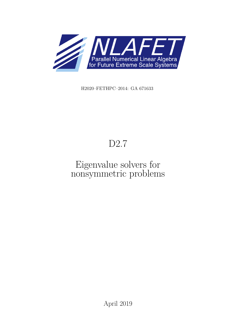

H2020–FETHPC–2014: GA 671633

# D2.7

## Eigenvalue solvers for nonsymmetric problems

April 2019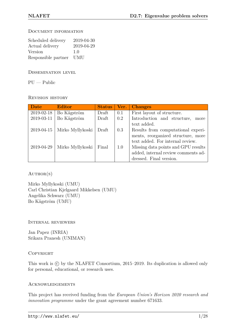#### Document information

| Scheduled delivery  | 2019-04-30 |
|---------------------|------------|
| Actual delivery     | 2019-04-29 |
| Version             | 1.0        |
| Responsible partner | <b>UMU</b> |

Dissemination level

 $PU - Public$ 

Revision history

| Date       | <b>Editor</b>    | <b>Status</b> | Ver. | <b>Changes</b>                      |
|------------|------------------|---------------|------|-------------------------------------|
| 2019-02-18 | Bo Kågström      | Draft         | 0.1  | First layout of structure.          |
| 2019-03-11 | Bo Kågström      | Draft         | 0.2  | Introduction and structure,<br>more |
|            |                  |               |      | text added.                         |
| 2019-04-15 | Mirko Myllykoski | Draft         | 0.3  | Results from computational experi-  |
|            |                  |               |      | ments, reorganized structure, more  |
|            |                  |               |      | text added. For internal review.    |
| 2019-04-29 | Mirko Myllykoski | Final         | 1.0  | Missing data points and GPU results |
|            |                  |               |      | added, internal review comments ad- |
|            |                  |               |      | dressed. Final version.             |

 $AUTHOR(S)$ 

Mirko Myllykoski (UMU) Carl Christian Kjelgaard Mikkelsen (UMU) Angelika Schwarz (UMU) Bo Kågström (UMU)

Internal reviewers

Jan Papez (INRIA) Srikara Pranesh (UNIMAN)

#### **COPYRIGHT**

This work is  $\odot$  by the NLAFET Consortium, 2015–2019. Its duplication is allowed only for personal, educational, or research uses.

#### **ACKNOWLEDGEMENTS**

This project has received funding from the *European Union's Horizon 2020 research and innovation programme* under the grant agreement number 671633.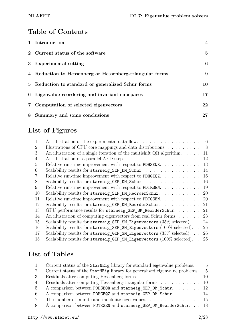#### **Table of Contents**

| 1 Introduction                                           | $\overline{\mathbf{4}}$ |
|----------------------------------------------------------|-------------------------|
| 2 Current status of the software                         | $\overline{5}$          |
| 3 Experimental setting                                   | 6                       |
| 4 Reduction to Hessenberg or Hessenberg-triangular forms | 9                       |
| 5 Reduction to standard or generalized Schur forms       | 10                      |
| 6 Eigenvalue reordering and invariant subspaces          | 17                      |
| 7 Computation of selected eigenvectors                   | 22                      |
| 8 Summary and some conclusions                           | 27                      |

## **List of Figures**

| $\mathbf{1}$   | An illustration of the experimental data flow.                                 | - 6            |
|----------------|--------------------------------------------------------------------------------|----------------|
| 2              | Illustrations of CPU core mappings and data distributions                      | 8 <sup>8</sup> |
| 3              | An illustration of a single iteration of the multishift $QR$ algorithm.        | 11             |
| $\overline{4}$ |                                                                                | 12             |
| 5              | Relative run-time improvement with respect to PDHSEQR.                         | 13             |
| 6              | Scalability results for starneig_SEP_DM_Schur.                                 | 14             |
| 7              | Relative run-time improvement with respect to PDHGEQZ. $\dots \dots \dots$     | 16             |
| 8              | Scalability results for starneig GEP DM Schur.                                 | 16             |
| 9              | Relative run-time improvement with respect to PDTRSEN.                         | 19             |
| 10             | Scalability results for starneig_SEP_DM_ReorderSchur.                          | <b>20</b>      |
| 11             | Relative run-time improvement with respect to PDTGSEN.                         | 20             |
| 12             | Scalability results for starneig GEP DM ReorderSchur.                          | 21             |
| 13             | GPU performance results for starneig_SEP_SM_ReorderSchur.                      | 21             |
| 14             | An illustration of computing eigenvectors from real Schur forms                | 23             |
| 15             | Scalability results for starneig SEP SM Eigenvectors $(35\% \text{ selected})$ | 24             |
| 16             | Scalability results for starneig_SEP_SM_Eigenvectors (100% selected). .        | 25             |
| 17             | Scalability results for starneig GEP SM Eigenvectors $(35\% \text{ selected})$ | 26             |
| 18             | Scalability results for starneig GEP SM Eigenvectors (100% selected).          | 26             |

## **List of Tables**

| $\mathbf{1}$   | Current status of the StarNEig library for standard eigenvalue problems.                       | .5            |
|----------------|------------------------------------------------------------------------------------------------|---------------|
| 2              | Current status of the StarNEig library for generalized eigenvalue problems.                    | $\frac{5}{2}$ |
| 3              |                                                                                                |               |
| $\overline{4}$ |                                                                                                |               |
| -5             | A comparison between PDHSEQR and starneig_SEP_DM_Schur 12                                      |               |
| -6             | A comparison between PDHGEQZ and starneig_GEP_DM_Schur. 14                                     |               |
| $\overline{7}$ | The number of infinite and indefinite eigenvalues. $\dots \dots \dots \dots \dots \dots \dots$ |               |
| -8             | A comparison between PDTRSEN and starneig SEP DM ReorderSchur. 18                              |               |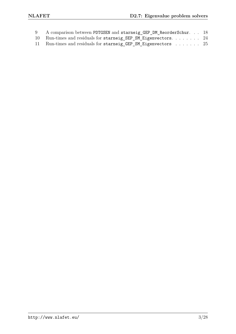| 9 A comparison between PDTGSEN and starneig_GEP_DM_ReorderSchur. 18 |  |
|---------------------------------------------------------------------|--|
| 10 Run-times and residuals for starneig_SEP_SM_Eigenvectors 24      |  |
| 11 Run-times and residuals for starneig_GEP_SM_Eigenvectors 25      |  |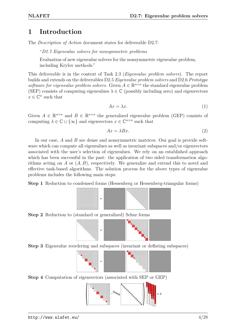#### **1 Introduction**

The *Description of Action* document states for deliverable D2.7:

"*D2.7 Eigenvalue solvers for nonsymmetric problems*

Evaluation of new eigenvalue solvers for the nonsymmetric eigenvalue problem, including Krylov methods."

This deliverable is in the context of Task 2.3 (*Eigenvalue problem solvers*). The report builds and extends on the deliverables D2.5 *Eigenvalue problem solvers* and D2.6 *Prototype* software for eigenvalue problem solvers. Given  $A \in \mathbb{R}^{n \times n}$  the standard eigenvalue problem (SEP) consists of computing eigenvalues  $\lambda \in \mathbb{C}$  (possibly including zero) and eigenvectors  $x \in \mathbb{C}^n$  such that

$$
Ax = \lambda x.\tag{1}
$$

Given  $A \in \mathbb{R}^{n \times n}$  and  $B \in \mathbb{R}^{n \times n}$  the generalized eigenvalue problem (GEP) consists of computing  $\lambda \in \mathbb{C} \cup \{\infty\}$  and eigenvectors  $x \in \mathbb{C}^{n \times n}$  such that

$$
Ax = \lambda Bx.\tag{2}
$$

In our case, A and B are dense and nonsymmetric matrices. Our goal is provide software which can compute all eigenvalues as well as invariant subspaces and/or eigenvectors associated with the user's selection of eigenvalues. We rely on an established approach which has been successful in the past: the application of two sided transformation algorithms acting on *A* or (*A, B*), respectively. We generalize and extend this to novel and effective task-based algorithms. The solution process for the above types of eigenvalue problems includes the following main steps:

**Step 1** Reduction to condensed forms (Hessenberg or Hessenberg-triangular forms)



**Step 2** Reduction to (standard or generalized) Schur forms



**Step 3** Eigenvalue reordering and subspaces (invariant or deflating subspaces)



**Step 4** Computation of eigenvectors (associated with SEP or GEP)

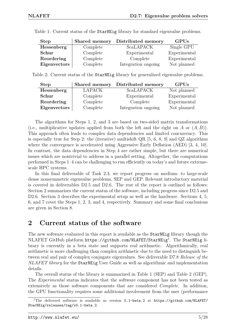| <b>Step</b>  | Shared memory | Distributed memory  | <b>GPUs</b>  |
|--------------|---------------|---------------------|--------------|
| Hessenberg   | Complete      | <b>ScaLAPACK</b>    | Single GPU   |
| Schur        | Complete      | Experimental        | Experimental |
| Reordering   | Complete      | Complete            | Experimental |
| Eigenvectors | Complete      | Integration ongoing | Not planned  |

Table 1: Current status of the StarNEig library for standard eigenvalue problems.

Table 2: Current status of the StarNEig library for generalized eigenvalue problems.

| <b>Step</b>  | Shared memory | Distributed memory  | GPUs         |
|--------------|---------------|---------------------|--------------|
| Hessenberg   | <b>LAPACK</b> | <b>ScaLAPACK</b>    | Not planned  |
| Schur        | Complete      | Experimental        | Experimental |
| Reordering   | Complete      | Complete            | Experimental |
| Eigenvectors | Complete      | Integration ongoing | Not planned  |

The algorithms for Steps 1, 2, and 3 are based on two-sided matrix transformations (i.e., multiplicative updates applied from both the left and the right on *A* or (*A, B*)). This approach often leads to complex data dependencies and limited concurrency. This is especially true for Step 2: the (iterative) multishift QR [5, 6, 8, 9] and QZ algorithms where the convergence is accelerated using Aggressive Early Deflation (AED) [3, 4, 10]. In contrast, the data dependencies in Step 4 are rather simple, but there are numerical issues which are nontrivial to address in a parallel setting. Altogether, the computations performed in Steps 1–4 can be challenging to run efficiently on today's and future extremescale HPC systems.

In this final deliverable of Task 2.3, we report progress on medium- to large-scale dense nonsymmetric eigenvalue problems, SEP and GEP. Relevant introductory material is covered in deliverables D2.5 and D2.6. The rest of the report is outlined as follows: Section 2 summarizes the current status of the software, including progress since D2.5 and D2.6. Section 3 describes the experimental setup as well as the hardware. Sections 4, 5, 6, and 7 cover the Steps 1, 2, 3, and 4, respectively. Summary and some final conclusions are given in Section 8.

#### **2 Current status of the software**

The new software evaluated in this report is available as the StarNEig library though the NLAFET GitHub platform  ${\tt https://github.com/NLAFET/StarNeig^1}.$  The StarNEig library is currently in a beta state and supports real arithmetic. Algorithmically, real arithmetic is more challenging than complex arithmetic due to the need to distinguish between real and pair of complex conjugate eigenvalues. See deliverable D7.8 *Release of the NLAFET library* for the StarNEig User Guide as well as algorithmic and implementation details.

The overall status of the library is summarized in Table 1 (SEP) and Table 2 (GEP). The *Experimental* status indicates that the software component has not been tested as extensively as those software components that are considered *Complete*. In addition, the GPU functionality requires some additional involvement from the user (performance

<sup>&</sup>lt;sup>1</sup>The delivered software is available as version 0.1-beta.2 at https://github.com/NLAFET/ StarNEig/releases/tag/v0.1-beta.2.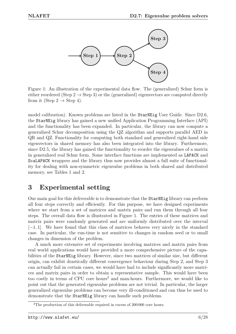

Figure 1: An illustration of the experimental data flow. The (generalized) Schur form is either reordered (Step 2  $\rightarrow$  Step 3) or the (generalized) eigenvectors are computed directly from it (Step 2  $\rightarrow$  Step 4).

model calibration). Known problems are listed in the StarNEig User Guide. Since D2.6, the StarNEig library has gained a new unified Application Programming Interface (API) and the functionality has been expanded. In particular, the library can now compute a generalized Schur decomposition using the QZ algorithm and supports parallel AED in QR and QZ. Functionality for computing both standard and generalized right-hand side eigenvectors in shared memory has also been integrated into the library. Furthermore, since D2.5, the library has gained the functionality to reorder the eigenvalues of a matrix in generalized real Schur form. Some interface functions are implemented as LAPACK and ScaLAPACK wrappers and the library thus now provides almost a full suite of functionality for dealing with non-symmetric eigenvalue problems in both shared and distributed memory, see Tables 1 and 2.

#### **3 Experimental setting**

Our main goal for this deliverable is to demonstrate that the StarNEig library can perform all four steps correctly and efficiently. For this purpose, we have designed experiments where we start from a set of matrices and matrix pairs and run them through all four steps. The overall data flow is illustrated in Figure 1. The entries of these matrices and matrix pairs were randomly generated and are uniformly distributed over the interval [−1*,* 1]. We have found that this class of matrices behaves very nicely in the standard case. In particular, the run-time is not sensitive to changes in random seed or to small changes in dimension of the problem.

A much more extensive set of experiments involving matrices and matrix pairs from real world applications would have provided a more comprehensive picture of the capabilities of the StarNEig library. However, since two matrices of similar size, but different origin, can exhibit drastically different convergence behaviour during Step 2, and Step 3 can actually fail in certain cases, we would have had to include significantly more matrices and matrix pairs in order to obtain a representative sample. This would have been too costly in terms of CPU core hours<sup>2</sup> and man-hours. Furthermore, we would like to point out that the generated eigenvalue problems are not trivial. In particular, the larger generalized eigenvalue problems can become very ill-conditioned and can thus be used to demonstrate that the StarNEig library can handle such problems.

<sup>&</sup>lt;sup>2</sup>The production of this deliverable required in excess of 200 000 core hours.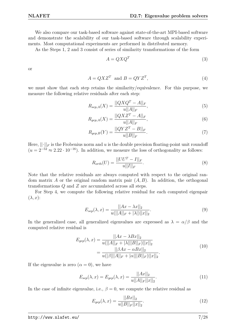We also compare our task-based software against state-of-the-art MPI-based software and demonstrate the scalability of our task-based software through scalability experiments. Most computational experiments are performed in distributed memory.

As the Steps 1, 2 and 3 consist of series of similarity transformations of the form

$$
A = QXQ^T \tag{3}
$$

or

$$
A = QXZ^T \text{ and } B = QYZ^T,
$$
\n<sup>(4)</sup>

we must show that each step retains the similarity/equivalence. For this purpose, we measure the following relative residuals after each step:

$$
R_{sep,A}(X) = \frac{||QXQ^{T} - A||_{F}}{u||A||_{F}},
$$
\n(5)

$$
R_{gep,A}(X) = \frac{||QXZ^{T} - A||_{F}}{u||A||_{F}},
$$
\n(6)

$$
R_{gep,B}(Y) = \frac{||QYZ^T - B||_F}{u||B||_F}.
$$
\n(7)

Here,  $\lVert \cdot \rVert_F$  is the Frobenius norm and *u* is the double precision floating-point unit roundoff  $(u = 2^{-52} \approx 2.22 \cdot 10^{-16})$ . In addition, we measure the loss of orthogonality as follows:

$$
R_{orth}(U) = \frac{||UU^{T} - I||_{F}}{u||I||_{F}}.
$$
\n(8)

Note that the relative residuals are always computed with respect to the original random matrix *A* or the original random matrix pair (*A, B*). In addition, the orthogonal transformations *Q* and *Z* are accumulated across all steps.

For Step 4, we compute the following relative residual for each computed eigenpair  $(\lambda, x)$ :

$$
E_{sep}(\lambda, x) = \frac{||Ax - \lambda x||_2}{u(||A||_F + |\lambda|) ||x||_2}.
$$
\n(9)

In the generalized case, all generalized eigenvalues are expressed as  $\lambda = \alpha/\beta$  and the computed relative residual is

$$
E_{gep}(\lambda, x) = \frac{||Ax - \lambda Bx||_2}{u(||A||_F + |\lambda|||B||_F)||x||_2}
$$
  
= 
$$
\frac{||\beta Ax - \alpha Bx||_2}{u(|\beta|||A||_F + |\alpha|||B||_F)||x||_2}.
$$
 (10)

If the eigenvalue is zero  $(\alpha = 0)$ , we have

$$
E_{sep}(\lambda, x) = E_{gep}(\lambda, x) = \frac{||Ax||_2}{u||A||_F||x||_2}.
$$
\n(11)

In the case of infinite eigenvalue, i.e.,  $\beta = 0$ , we compute the relative residual as

$$
E_{gep}(\lambda, x) = \frac{||Bx||_2}{u||B||_F||x||_2}.\tag{12}
$$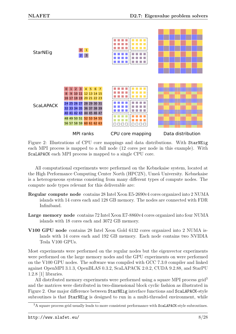

Figure 2: Illustrations of CPU core mappings and data distributions. With StarNEig each MPI process is mapped to a full node (12 cores per node in this example). With ScaLAPACK each MPI process is mapped to a single CPU core.

All computational experiments were performed on the Kebnekaise system, located at the High Performance Computing Center North (HPC2N), Umeå University. Kebnekaise is a heterogeneous systems consisting from many different types of compute nodes. The compute node types relevant for this deliverable are:

- **Regular compute node** contains 28 Intel Xeon E5-2690v4 cores organized into 2 NUMA islands with 14 cores each and 128 GB memory. The nodes are connected with FDR Infiniband.
- **Large memory node** contains 72 Intel Xeon E7-8860v4 cores organized into four NUMA islands with 18 cores each and 3072 GB memory.
- **V100 GPU node** contains 28 Intel Xeon Gold 6132 cores organized into 2 NUMA islands with 14 cores each and 192 GB memory. Each node contains two NVIDIA Tesla V100 GPUs.

Most experiments were performed on the regular nodes but the eigenvector experiments were performed on the large memory nodes and the GPU experiments on were performed on the V100 GPU nodes. The software was compiled with GCC 7.3.0 compiler and linked against OpenMPI 3.1.3, OpenBLAS 0.3.2, ScaLAPACK 2.0.2, CUDA 9.2.88, and StarPU 1.2.8 [1] libraries.

All distributed memory experiments were performed using a square MPI process grid<sup>3</sup> and the matrices were distributed in two-dimensional block cyclic fashion as illustrated in Figure 2. One major difference between StarNEig interface functions and ScaLAPACK-style subroutines is that StarNEig is designed to run in a multi-threaded environment, while

 $^3\text{A}$  square process grid usually leads to more consistent performance with  $\texttt{ScalAPACK-style}$  subroutines.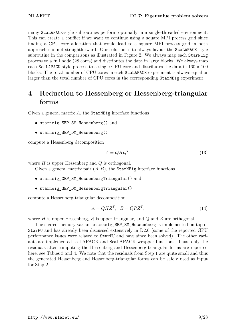many ScaLAPACK-style subroutines perform optimally in a single-threaded environment. This can create a conflict if we want to continue using a square MPI process grid since finding a CPU core allocation that would lead to a square MPI process grid in both approaches is not straightforward. Our solution is to always favour the ScaLAPACK-style subroutine in the comparisons as illustrated in Figure 2. We always map each StarNEig process to a full node (28 cores) and distributes the data in large blocks. We always map each ScaLAPACK-style process to a single CPU core and distributes the data in  $160 \times 160$ blocks. The total number of CPU cores in each ScaLAPACK experiment is always equal or larger than the total number of CPU cores in the corresponding StarNEig experiment.

#### **4 Reduction to Hessenberg or Hessenberg-triangular forms**

Given a general matrix A, the StarNEig interface functions

- starneig\_SEP\_SM\_Hessenberg() and
- starneig SEP DM Hessenberg()

compute a Hessenberg decomposition

$$
A = QHQ^T,\t\t(13)
$$

where *H* is upper Hessenberg and *Q* is orthogonal.

Given a general matrix pair  $(A, B)$ , the **StarNEig** interface functions

- starneig GEP SM HessenbergTriangular() and
- starneig\_GEP\_DM\_HessenbergTriangular()

compute a Hessenberg-triangular decomposition

$$
A = QHZ^T, \quad B = QRZ^T,\tag{14}
$$

where *H* is upper Hessenberg, *R* is upper triangular, and *Q* and *Z* are orthogonal.

The shared memory variant starneig\_SEP\_SM\_Hessenberg is implemented on top of StarPU and has already been discussed extensively in D2.6 (some of the reported GPU performance issues were related to StarPU and have since been solved). The other variants are implemented as LAPACK and ScaLAPACK wrapper functions. Thus, only the residuals after computing the Hessenberg and Hessenberg-triangular forms are reported here; see Tables 3 and 4. We note that the residuals from Step 1 are quite small and thus the generated Hessenberg and Hessenberg-triangular forms can be safely used as input for Step 2.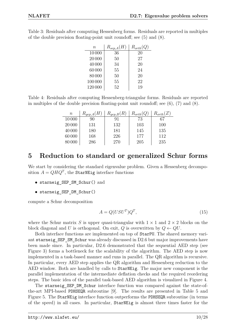| $n\,$   | $R_{sep,A}(H)$ | $R_{orth}(Q)$ |
|---------|----------------|---------------|
| 10000   | 36             | 20            |
| 20 000  | 50             | 27            |
| 40000   | 34             | 20            |
| 60000   | 55             | 24            |
| 80000   | 50             | 20            |
| 100 000 | 55             | 22            |
| 120 000 | 52             | 19            |

Table 3: Residuals after computing Hessenberg forms. Residuals are reported in multiples of the double precision floating-point unit roundoff; see (5) and (8).

Table 4: Residuals after computing Hessenberg-triangular forms. Residuals are reported in multiples of the double precision floating-point unit roundoff; see  $(6)$ ,  $(7)$  and  $(8)$ .

| $\, n$ | $R_{gep,A}(H)$ | $R_{gep,B}(R)$ | $R_{orth}(Q)$ | $R_{orth}(Z)$ |
|--------|----------------|----------------|---------------|---------------|
| 10000  | 90             |                | 73            | 67            |
| 20 000 | 131            | 132            | 103           | 100           |
| 40000  | 180            | 181            | 145           | 135           |
| 60000  | 168            | 226            | 177           | 112           |
| 80 000 | 286            | 270            | 205           | 235           |

#### **5 Reduction to standard or generalized Schur forms**

We start by considering the standard eigenvalue problem. Given a Hessenberg decomposition  $A = QHQ^T$ , the StarNEig interface functions

- starneig\_SEP\_SM\_Schur() and
- starneig\_SEP\_DM\_Schur()

compute a Schur decomposition

$$
A = Q(USU^T)Q^T,\t\t(15)
$$

where the Schur matrix *S* is upper quasi-triangular with  $1 \times 1$  and  $2 \times 2$  blocks on the block diagonal and *U* is orthogonal. On exit, *Q* is overwritten by  $Q \leftarrow QU$ .

Both interface functions are implemented on top of StarPU. The shared memory variant starneig\_SEP\_SM\_Schur was already discussed in D2.6 but major improvements have been made since. In particular, D2.6 demonstrated that the sequential AED step (see Figure 3) forms a bottleneck for the scalability of the algorithm. The AED step is now implemented in a task-based manner and runs in parallel. The QR algorithm is recursive. In particular, every AED step applies the QR algorithm and Hessenberg reduction to the AED window. Both are handled by calls to StarNEig. The major new component is the parallel implementation of the intermediate deflation checks and the required reordering steps. The basic idea of the parallel task-based AED algorithm is visualized in Figure 4.

The starneig SEP DM Schur interface function was compared against the state-ofthe-art MPI-based PDHSEQR subroutine [9]. The results are presented in Table 5 and Figure 5. The StarNEig interface function outperforms the PDHSEQR subroutine (in terms of the speed) in all cases. In particular, StarNEig is almost three times faster for the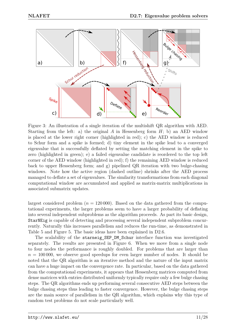

Figure 3: An illustration of a single iteration of the multishift QR algorithm with AED. Starting from the left: a) the original *A* in Hessenberg form *H*; b) an AED window is placed at the lower right corner (highlighted in red); c) the AED window is reduced to Schur form and a spike is formed; d) tiny element in the spike lead to a converged eigenvalue that is successfully deflated by setting the matching element in the spike to zero (highlighted in green); e) a failed eigenvalue candidate is reordered to the top left corner of the AED window (highlighted in red); f) the remaining AED window is reduced back to upper Hessenberg form; and g) pipelined QR iteration with two bulge-chasing windows. Note how the active region (dashed outline) shrinks after the AED process managed to deflate a set of eigenvalues. The similarity transformations from each diagonal computational window are accumulated and applied as matrix-matrix multiplications in associated submatrix updates.

largest considered problem  $(n = 120000)$ . Based on the data gathered from the computational experiments, the larger problems seem to have a larger probability of deflating into several independent subproblems as the algorithm proceeds. As part its basic design, StarNEig is capable of detecting and processing several independent subproblem concurrently. Naturally this increases parallelism and reduces the run-time, as demonstrated in Table 5 and Figure 5. The basic ideas have been explained in D2.6.

The scalability of the starneig SEP DM Schur interface function was investigated separately. The results are presented in Figure 6. When we move from a single node to four nodes the performance is roughly doubled. For problems that are larger than  $n = 100000$ , we observe good speedups for even larger number of nodes. It should be noted that the QR algorithm is an iterative method and the nature of the input matrix can have a huge impact on the convergence rate. In particular, based on the data gathered from the computational experiments, it appears that Hessenberg matrices computed from dense matrices with entries distributed uniformly typically require only a few bulge chasing steps. The QR algorithms ends up performing several consecutive AED steps between the bulge chasing steps thus leading to faster convergence. However, the bulge chasing steps are the main source of parallelism in the QR algorithm, which explains why this type of random test problems do not scale particularly well.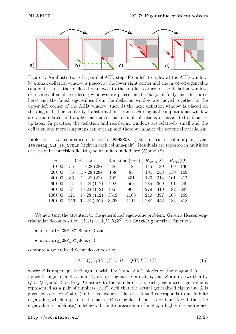

Figure 4: An illustration of a parallel AED step. From left to right: a) the AED window; b) a small deflation window is placed at the lower right corner and the involved eigenvalue candidates are either deflated or moved to the top left corner of the deflation window; c) a series of small reordering windows are placed on the diagonal (only one illustrated here) and the failed eigenvalues from the deflation window are moved together to the upper left corner of the AED window; then d) the next deflation window is placed on the diagonal. The similarity transformations from each diagonal computational window are accumulated and applied as matrix-matrix multiplications in associated submatrix updates. In practice, the deflation and reordering windows are relatively small and the deflation and reordering steps can overlap and thereby enhance the potential parallelism.

|  |                                                                             |  |  | Table 5: A comparison between PDHSEQR (left in each column-pair) and                   |  |
|--|-----------------------------------------------------------------------------|--|--|----------------------------------------------------------------------------------------|--|
|  |                                                                             |  |  | starneig_SEP_DM_Schur (right in each column-pair). Residuals are reported in multiples |  |
|  | of the double precision floating-point unit roundoff; see $(5)$ and $(8)$ . |  |  |                                                                                        |  |

| $\boldsymbol{n}$ | CPU cores                        |      | Run-time (secs)   $R_{sep,A}(S)$   $R_{orth}(Q)$ |      |     |     |     |
|------------------|----------------------------------|------|--------------------------------------------------|------|-----|-----|-----|
| 10000            | $36 \quad 1 \cdot 28 \ (28)$     | - 38 | 18                                               | 145  | 189 | 100 | 130 |
| 20 000           | $36 \quad 1 \cdot 28 \ (28)$     | 158  | 85                                               | 191  | 248 | 130 | 169 |
| 40 000           | $36 \quad 1 \cdot 28 \ (28)$     | 708  | 431                                              | 120  | 314 | 161 | 217 |
| 60000            | $121 \quad 4 \cdot 28 \ (112)$   | 992  | 563                                              | 285  | 369 | 191 | 249 |
|                  | $80000$   121 $4 \cdot 28$ (112) | 1667 | 904                                              | 279  | 419 | 182 | 297 |
| 100000           | $121 \quad 4 \cdot 28 \ (112)$   | 3319 | 1168                                             | -240 | 397 | 163 | 269 |
| 120 000          | $256 \quad 9 \cdot 28 \; (252)$  | 3268 | 1111                                             | 288  | 442 | 184 | 318 |

We now turn the attention to the generalized eigenvalue problem. Given a Hessenbergtriangular decomposition  $(A, B) = Q(H, R)Z<sup>T</sup>$ , the **StarNEig** interface functions

- starneig\_GEP\_SM\_Schur() and
- starneig\_GEP\_DM\_Schur()

compute a generalized Schur decomposition

$$
A = Q(U_1 S U_2^T) Z^T, \quad B = Q(U_1 T U_2^T) Z^T,
$$
\n(16)

where *S* is upper quasi-triangular with  $1 \times 1$  and  $2 \times 2$  blocks on the diagonal, *T* is a upper triangular, and  $U_1$  and  $U_2$  are orthogonal. On exit,  $Q$  and  $Z$  are overwritten by  $Q \leftarrow QU_1$  and  $Z \leftarrow ZU_2$ . Contrary to the standard case, each generalized eigenvalue is represented as a pair of numbers  $(\alpha, \beta)$  such that the actual generalized eigenvalue  $\lambda$  is given by  $\alpha/\beta$  for  $\beta \neq 0$  (finite eigenvalue). The case  $\beta = 0$  corresponds to an infinite eigenvalue, which appears if the matrix *B* is singular. If both  $\alpha = 0$  and  $\beta = 0$ , then the eigenvalue is indefinite/undefined. In finite precision arithmetic, a highly ill-conditioned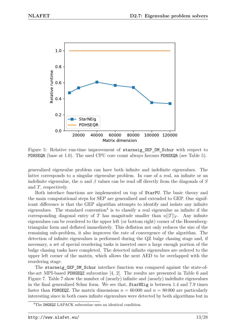

Figure 5: Relative run-time improvement of starneig SEP DM Schur with respect to PDHSEQR (base at 1.0). The used CPU core count always favours PDHSEQR (see Table 5).

generalized eigenvalue problem can have both infinite and indefinite eigenvalues. The latter corresponds to a singular eigenvalue problem. In case of a real, an infinite or an indefinite eigenvalue, the  $\alpha$  and  $\beta$  values can be read off directly from the diagonals of *S* and *T*, respectively.

Both interface functions are implemented on top of StarPU. The basic theory and the main computational steps for SEP are generalized and extended to GEP. One significant difference is that the GEP algorithm attempts to identify and isolate any infinite eigenvalues. The standard convention<sup>4</sup> is to classify a real eigenvalue as infinite if the corresponding diagonal entry of *T* has magnitude smaller than  $u||T||_F$ . Any infinite eigenvalues can be reordered to the upper left (or bottom right) corner of the Hessenbergtriangular form and deflated immediately. This deflation not only reduces the size of the remaining sub-problem, it also improves the rate of convergence of the algorithm. The detection of infinite eigenvalues is performed during the QZ bulge chasing stage and, if necessary, a set of special reordering tasks is inserted once a large enough portion of the bulge chasing tasks have completed. The detected infinite eigenvalues are ordered to the upper left corner of the matrix, which allows the next AED to be overlapped with the reordering stage.

The starneig GEP DM Schur interface function was compared against the state-ofthe-art MPI-based PDHGEQZ subroutine [4, 2]. The results are presented in Table 6 and Figure 7. Table 7 show the number of (nearly) infinite and (nearly) indefinite eigenvalues in the final generalized Schur form. We see that, StarNEig is between 1.4 and 7.9 times faster than PDHGEQZ. The matrix dimensions  $n = 60000$  and  $n = 80000$  are particularly interesting since in both cases infinite eigenvalues were detected by both algorithms but in

<sup>4</sup>The DHGEQZ LAPACK subroutine uses an identical condition.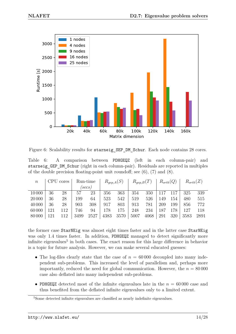

Figure 6: Scalability results for starneig SEP DM Schur. Each node contains 28 cores.

Table 6: A comparison between PDHGEQZ (left in each column-pair) and starneig GEP DM Schur (right in each column-pair). Residuals are reported in multiples of the double precision floating-point unit roundoff; see  $(6)$ ,  $(7)$  and  $(8)$ .

| $\it{n}$ |     | CPU cores |      | Run-time                |      | $R_{gep,A}(S)$ | $R_{gep,B}(T)$ |      | $R_{orth}(Q)$ |     | $R_{orth}(Z)$ |      |
|----------|-----|-----------|------|-------------------------|------|----------------|----------------|------|---------------|-----|---------------|------|
|          |     |           |      | $\left( {secs} \right)$ |      |                |                |      |               |     |               |      |
| 10000    | 36  | 28        | 57   | 23                      | 356  | 363            | 354            | 350  | 117           | 117 | 325           | 339  |
| 20 000   | 36  | 28        | 199  | 64                      | 523  | 542            | 519            | 526  | 149           | 154 | 480           | 515  |
| 40 000   | 36  | 28        | 903  | 308                     | 917  | 803            | 913            | 781  | 209           | 199 | 856           | 772  |
| 60 000   | 121 | 112       | 746  | 94                      | 178  | 175            | 248            | 234  | 187           | 178 | 127           | 118  |
| 80 000   | 121 | 112       | 3499 | 2527                    | 4383 | 3570           | 5007           | 4068 | 291           | 320 | 3583          | 2891 |

the former case StarNEig was almost eight times faster and in the latter case StarNEig was only 1.4 times faster. In addition, PDHGEQZ managed to detect significantly more infinite eigenvalues<sup>5</sup> in both cases. The exact reason for this large difference in behavior is a topic for future analysis. However, we can make several educated guesses:

- The log-files clearly state that the case of  $n = 60000$  decoupled into many independent sub-problems. This increased the level of parallelism and, perhaps more importantly, reduced the need for global communication. However, the  $n = 80000$ case also deflated into many independent sub-problems.
- PDHGEQZ detected most of the infinite eigenvalues late in the  $n = 60000$  case and thus benefited from the deflated infinite eigenvalues only to a limited extent.

<sup>5</sup>Some detected infinite eigenvalues are classified as nearly indefinite eigenvalues.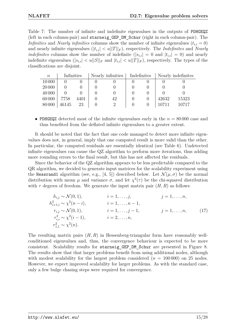Table 7: The number of infinite and indefinite eigenvalues in the outputs of PDHGEQZ (left in each column-pair) and starneig\_GEP\_DM\_Schur (right in each column-pair). The *Infinities* and *Nearly infinities* columns show the number of infinite eigenvalues  $(t_{i,i} = 0)$ and nearly infinite eigenvalues  $(|t_{i,i}| < u||T||_F)$ , respectively. The *Indefinites* and *Nearly indefinites* columns show the number of indefinite  $(|s_{i,i}| = 0$  and  $|t_{i,i}| = 0)$  and nearly indefinite eigenvalues  $(|s_{i,i}| < u||S||_F$  and  $|t_{i,i}| < u||T||_F$ ), respectively. The types of the classifications are disjoint.

| $\, n$ | Infinities |      | Nearly infinities   Indefinites |  |       | Nearly indefinites |
|--------|------------|------|---------------------------------|--|-------|--------------------|
| 10000  |            |      |                                 |  |       |                    |
| 20 000 |            |      |                                 |  |       |                    |
| 40 000 |            |      |                                 |  |       |                    |
| 60000  | 7758       | 4401 | 42                              |  | 42632 | 15323              |
| 80 000 | 46145      | 23   | റ                               |  |       | 10717              |

• PDHGEQZ detected most of the infinite eigenvalues early in the *n* = 80 000 case and thus benefited from the deflated infinite eigenvalues to a greater extent.

It should be noted that the fact that one code managed to detect more infinite eigenvalues does not, in general, imply that one computed result is more valid than the other. In particular, the computed residuals are essentially identical (see Table 6). Undetected infinite eigenvalues can cause the QZ algorithm to perform more iterations, thus adding more rounding errors to the final result, but this has not affected the residuals.

Since the behavior of the QZ algorithm appears to be less predictable compared to the QR algorithm, we decided to generate input matrices for the scalability experiment using the Hessrand1 algorithm (see, e.g., [4, 5]) described below. Let  $\mathcal{N}(\mu, \sigma)$  be the normal distribution with mean  $\mu$  and variance  $\sigma$ , and let  $\chi^2(\tau)$  be the chi-squared distribution with  $\tau$  degrees of freedom. We generate the input matrix pair  $(H, R)$  as follows:

$$
h_{i,j} \sim \mathcal{N}(0,1), \qquad i = 1, ..., j, \qquad j = 1, ..., n, \n h_{i+1,i}^2 \sim \chi^2(n-i), \qquad i = 1, ..., n-1, \n r_{i,j} \sim \mathcal{N}(0,1), \qquad i = 1, ..., j-1, \qquad j = 1, ..., n, \n r_{i,i}^2 \sim \chi^2(i-1), \qquad i = 2, ..., n, \n r_{1,1}^2 \sim \chi^2(n).
$$
\n(17)

The resulting matrix pairs (*H, R*) in Hessenberg-triangular form have reasonably wellconditioned eigenvalues and, thus, the convergence behaviour is expected to be more consistent. Scalability results for starneig\_GEP\_DM\_Schur are presented in Figure 8. The results show that that larger problems benefit from using additional nodes, although with modest scalability for the largest problem considered  $(n = 100000)$  on 25 nodes. However, we expect improved scalability for larger problems. As with the standard case, only a few bulge chasing steps were required for convergence.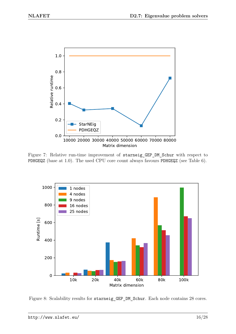

Figure 7: Relative run-time improvement of starneig\_GEP\_DM\_Schur with respect to PDHGEQZ (base at 1.0). The used CPU core count always favours PDHGEQZ (see Table 6).



Figure 8: Scalability results for starneig\_GEP\_DM\_Schur. Each node contains 28 cores.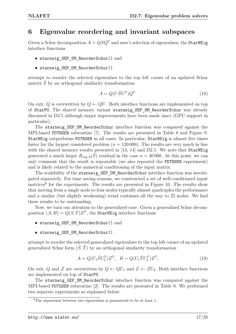#### **6 Eigenvalue reordering and invariant subspaces**

Given a Schur decomposition  $A = QSQ^T$  and user's selection of eigenvalues, the StarNEig interface functions

- starneig\_SEP\_SM\_ReorderSchur() and
- starneig\_SEP\_DM\_ReorderSchur()

attempt to reorder the selected eigenvalues to the top left corner of an updated Schur matrix  $\hat{S}$  by an orthogonal similarity transformation

$$
A = Q(U\hat{S}U^T)Q^T.
$$
\n(18)

On exit, Q is overwritten by  $Q \leftarrow QU$ . Both interface functions are implemented on top of StarPU. The shared memory variant starneig\_SEP\_SM\_ReorderSchur was already discussed in D2.5 although major improvements have been made since (GPU support in particular).

The starneig SEP DM ReorderSchur interface function was compared against the MPI-based PDTRSEN subroutine [7]. The results are presented in Table 8 and Figure 9. StarNEig outperforms PDTRSEN in all cases. In particular, StarNEig is almost five times faster for the largest considered problem  $(n = 120000)$ . The results are very much in line with the shared memory results presented in [13, 14] and D2.5. We note that StarNEig generated a much larger  $R_{sep,A}(\tilde{S})$  residual in the case  $n = 40000$ . At this point, we can only comment that the result is repeatable (we also repeated the PDTRSEN experiment) and is likely related to the numerical conditioning of the input matrix.

The scalability of the starneig SEP DM ReorderSchur interface function was investigated separately. For time saving reasons, we constructed a set of well-conditioned input matrices<sup>6</sup> for the experiments. The results are presented in Figure 10. The results show that moving from a single node to four nodes typically almost quadruples the performance and a similar (but slightly weakening) trend continues all the way to 25 nodes. We find these results to be outstanding.

Now, we turn our attention to the generalized case. Given a generalized Schur decomposition  $(A, B) = Q(S, T)Z^T$ , the StarNEig interface functions

- starneig\_GEP\_SM\_ReorderSchur() and
- starneig\_GEP\_DM\_ReorderSchur()

attempt to reorder the selected generalized eigenvalues to the top left corner of an updated generalized Schur form  $(\hat{S}, \hat{T})$  by an orthogonal similarity transformation

$$
A = Q(U_1 \hat{S} U_2^T) Z^T, \quad B = Q(U_1 \hat{T} U_2^T) Z^T,
$$
\n(19)

On exit, *Q* and *Z* are overwritten by  $Q \leftarrow QU_1$  and  $Z \leftarrow ZU_2$ . Both interface functions are implemented on top of StarPU.

The starneig\_GEP\_DM\_ReorderSchur interface function was compared against the MPI-based PDTGSEN subroutine [2]. The results are presented in Table 9. We performed two separate experiments as explained below:

 ${}^{6}$ The separation between two eigenvalues is guaranteed to be at least 1.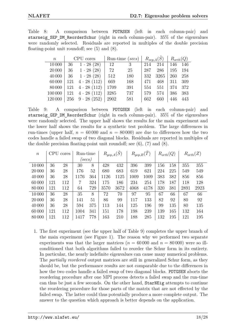|  | Table 8: A comparison between PDTRSEN (left in each column-pair) and                |  |  |  |  |  |
|--|-------------------------------------------------------------------------------------|--|--|--|--|--|
|  | starneig SEP DM ReorderSchur (right in each column-pair). 35% of the eigenvalues    |  |  |  |  |  |
|  | were randomly selected. Residuals are reported in multiples of the double precision |  |  |  |  |  |
|  | floating-point unit roundoff; see $(5)$ and $(8)$ .                                 |  |  |  |  |  |

| $\boldsymbol{n}$ | CPU cores |                                |      | Run-time (secs) $\vert$ |     | $R_{sep,A}(S)$ | $R_{orth}(Q)$ |     |
|------------------|-----------|--------------------------------|------|-------------------------|-----|----------------|---------------|-----|
| 10000            | 36        | $1 \cdot 28(28)$               | -12  | 3                       | 214 | 214            | 146           | 146 |
| 20 000           | 36        | $1 \cdot 28(28)$               | 72   | 25                      | 287 | 286            | 195           | 194 |
| 40 000           | 36        | $1 \cdot 28(28)$               | 512  | 180                     | 332 | 3265           | 260           | 258 |
| 60000            |           | $121 \quad 4 \cdot 28 \ (112)$ | 669  | 168                     | 471 | 468            | 311           | 309 |
| 80000            |           | $121 \quad 4 \cdot 28 \ (112)$ | 1709 | 391                     | 554 | 551            | 374           | 372 |
| 100 000          |           | $121 \quad 4 \cdot 28 \ (112)$ | 3285 | 737                     | 579 | 574            | 386           | 383 |
| 120 000          |           | $256 \quad 9 \cdot 28 \ (252)$ | 2902 | 581                     | 662 | 660            | 446           | 443 |

Table 9: A comparison between PDTGSEN (left in each column-pair) and starneig GEP DM ReorderSchur (right in each column-pair).  $35\%$  of the eigenvalues were randomly selected. The upper half shows the results for the main experiment and the lower half shows the results for a synthetic test problem. The large differences in run-times (upper half,  $n = 60000$  and  $n = 80000$ ) are due to differences how the two codes handle a failed swap of two diagonal blocks. Residuals are reported in multiples of the double precision floating-point unit roundoff; see (6), (7) and (8).

| $\boldsymbol{n}$ |     | CPU cores | Run-time                |     | $R_{gep,A}(\tilde{S})$ |      | $R_{gep,B}(\tilde{T})$ |      | $R_{orth}(Q)$ |     |      | $R_{orth}(Z)$ |
|------------------|-----|-----------|-------------------------|-----|------------------------|------|------------------------|------|---------------|-----|------|---------------|
|                  |     |           | $\left( {secs} \right)$ |     |                        |      |                        |      |               |     |      |               |
| 10000            | 36  | 28        | 30                      | 8   | 428                    | 432  | 396                    | 399  | 156           | 158 | 355  | 355           |
| 20 000           | 36  | 28        | 176                     | 52  | 680                    | 683  | 619                    | 621  | 224           | 225 | 549  | 549           |
| 40000            | 36  | 28        | 1176                    | 364 | 1126                   | 1125 | 1009                   | 1009 | 383           | 382 | 856  | 856           |
| 60000            | 121 | 112       | 7                       | 324 | 175                    | 186  | 234                    | 254  | 178           | 187 | 118  | 128           |
| 80000            | 121 | 112       | 64                      | 729 | 3570                   | 3672 | 4068                   | 4178 | 320           | 381 | 2891 | 2923          |
| 10000            | 36  | 28        | 35                      | 8   | 72                     | 70   | 97                     | 95   | 67            | 66  | 67   | 66            |
| 20 000           | 36  | 28        | 141                     | 51  | 86                     | 99   | 117                    | 133  | 82            | 92  | 80   | 92            |
| 40000            | 36  | 28        | 594                     | 375 | 113                    | 144  | 125                    | 196  | 99            | 135 | 80   | 135           |
| 60000            | 121 | 112       | 1004                    | 341 | 151                    | 178  | 198                    | 239  | 139           | 165 | 132  | 164           |
| 80000            | 121 | 112       | 1417                    | 778 | 163                    | 210  | 188                    | 285  | 132           | 195 | 121  | 195           |

1. The first experiment (see the upper half of Table 9) completes the upper branch of the main experiment (see Figure 1). The reason why we performed two separate experiments was that the larger matrices  $(n = 60000$  and  $n = 80000)$  were so illconditioned that both algorithms failed to reorder the Schur form in its entirety. In particular, the nearly indefinite eigenvalues can cause many numerical problems. The *partially reordered* output matrices are still in generalized Schur form, as they should be, but the performance results are not comparable due to the differences in how the two codes handle a failed swap of two diagonal blocks. PDTGSEN aborts the reordering procedure after one MPI process detects a failed swap and the run-time can thus be just a few seconds. On the other hand, StarNEig attempts to continue the reordering procedure for those parts of the matrix that are not effected by the failed swap. The latter could thus potentially produce a more complete output. The answer to the question which approach is better depends on the application.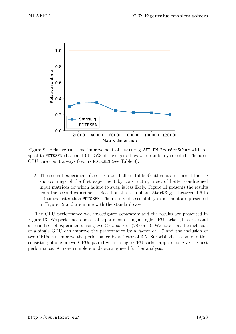

Figure 9: Relative run-time improvement of starneig SEP DM ReorderSchur with respect to PDTRSEN (base at 1.0). 35% of the eigenvalues were randomly selected. The used CPU core count always favours PDTRSEN (see Table 8).

2. The second experiment (see the lower half of Table 9) attempts to correct for the shortcomings of the first experiment by constructing a set of better conditioned input matrices for which failure to swap is less likely. Figure 11 presents the results from the second experiment. Based on these numbers, StarNEig is between 1.6 to 4.4 times faster than PDTGSEN. The results of a scalability experiment are presented in Figure 12 and are inline with the standard case.

The GPU performance was investigated separately and the results are presented in Figure 13. We performed one set of experiments using a single CPU socket (14 cores) and a second set of experiments using two CPU sockets (28 cores). We note that the inclusion of a single GPU can improve the performance by a factor of 1.7 and the inclusion of two GPUs can improve the performance by a factor of 3.5. Surprisingly, a configuration consisting of one or two GPUs paired with a single CPU socket appears to give the best performance. A more complete understating need further analysis.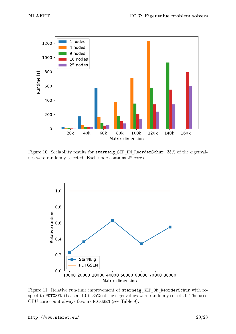

Figure 10: Scalability results for starneig\_SEP\_DM\_ReorderSchur. 35% of the eigenvalues were randomly selected. Each node contains 28 cores.



Figure 11: Relative run-time improvement of starneig GEP DM ReorderSchur with respect to PDTGSEN (base at 1.0). 35% of the eigenvalues were randomly selected. The used CPU core count always favours PDTGSEN (see Table 9).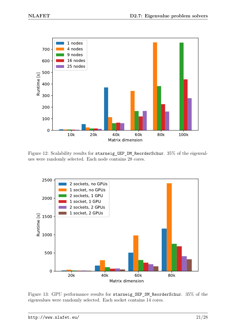

Figure 12: Scalability results for starneig\_GEP\_DM\_ReorderSchur. 35% of the eigenvalues were randomly selected. Each node contains 28 cores.



Figure 13: GPU performance results for starneig\_SEP\_SM\_ReorderSchur. 35% of the eigenvalues were randomly selected. Each socket contains 14 cores.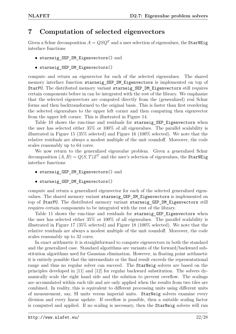#### **7 Computation of selected eigenvectors**

Given a Schur decomposition  $A = QSQ^T$  and a user selection of eigenvalues, the StarNEig interface functions

- starneig SEP SM Eigenvectors() and
- starneig SEP DM Eigenvectors()

compute and return an eigenvector for each of the selected eigenvalues. The shared memory interface function starneig\_SEP\_SM\_Eigenvectors is implemented on top of StarPU. The distributed memory variant starneig SEP DM Eigenvectors still requires certain components before in can be integrated with the rest of the library. We emphasize that the selected eigenvectors are computed directly from the (generalized) real Schur forms and then backtransformed to the original basis. This is faster than first reordering the selected eigenvalues to the upper left corner and then computing then eigenvector from the upper left corner. This is illustrated in Figure 14.

Table 10 shows the run-time and residuals for starneig\_SEP\_Eigenvectors when the user has selected either 35% or 100% of all eigenvalues. The parallel scalability is illustrated in Figure 15 (35% selected) and Figure 16 (100% selected). We note that the relative residuals are always a modest multiple of the unit roundoff. Moreover, the code scales reasonably up to 64 cores.

We now return to the generalized eigenvalue problem. Given a generalized Schur decomposition  $(A, B) = Q(S, T)Z<sup>T</sup>$  and the user's selection of eigenvalues, the StarNEig interface functions

- starneig GEP SM Eigenvectors() and
- starneig GEP DM Eigenvectors()

compute and return a generalized eigenvector for each of the selected generalized eigenvalues. The shared memory variant starneig\_GEP\_SM\_Eigenvectors is implemented on top of StarPU. The distributed memory variant starneig GEP DM Eigenvectors still requires certain components to be integrated with the rest of the library.

Table 11 shows the run-time and residuals for starneig\_GEP\_Eigenvectors when the user has selected either 35% or 100% of all eigenvalues. The parallel scalability is illustrated in Figure 17 (35% selected) and Figure 18 (100% selected). We note that the relative residuals are always a modest multiple of the unit roundoff. Moreover, the code scales reasonably up to 32 cores.

In exact arithmetic it is straightforward to compute eigenvectors in both the standard and the generalized case. Standard algorithms are variants of the forward/backward substitution algorithms used for Gaussian elimination. However, in floating point arithmetic it is entirely possible that the intermediate or the final result exceeds the representational range and thus no regular solver can succeed. The StarNeig solvers are based on the principles developed in [11] and [12] for regular backward substitution. The solvers dynamically scale the right hand side and the solution to prevent overflow. The scalings are accumulated within each tile and are only applied when the results from two tiles are combined. In reality, this is equivalent to different processing units using different units of measurement, say, SI units versus imperial units. StarNeig solvers examine every division and every linear update. If overflow is possible, then a suitable scaling factor is computed and applied. If no scaling is necessary, then the StarNeig solvers will run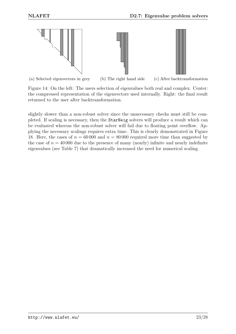

Figure 14: On the left: The users selection of eigenvalues both real and complex. Center: the compressed representation of the eigenvectors used internally. Right: the final result returned to the user after backtransformation.

slightly slower than a non-robust solver since the unnecessary checks must still be completed. If scaling is necessary, then the StarNeig solvers will produce a result which can be evaluated whereas the non-robust solver will fail due to floating point overflow. Applying the necessary scalings requires extra time. This is clearly demonstrated in Figure 18. Here, the cases of  $n = 60000$  and  $n = 80000$  required more time than suggested by the case of  $n = 40000$  due to the presence of many (nearly) infinite and nearly indefinite eigenvalues (see Table 7) that dramatically increased the need for numerical scaling.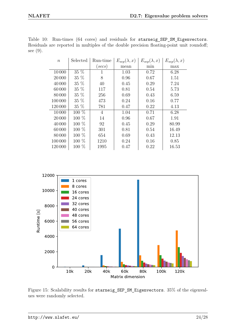| $\, n$  | Selected | Run-time       | $E_{sep}(\lambda, x)$ | $E_{sep}(\lambda, x)$ | $E_{sep}(\lambda, x)$ |  |
|---------|----------|----------------|-----------------------|-----------------------|-----------------------|--|
|         |          | (secs)         | mean                  | min                   | max                   |  |
| 10000   | 35 %     | 1              | 1.03                  | 0.72                  | 6.28                  |  |
| 20 000  | 35 %     | 8              | 0.96                  | 0.67                  | 1.51                  |  |
| 40 000  | 35 %     | 40             | 0.45                  | 0.29                  | 7.24                  |  |
| 60000   | $35\%$   | 117            | 0.81                  | 0.54                  | 5.73                  |  |
| 80000   | 35 %     | 256            | 0.69                  | 0.43                  | 6.59                  |  |
| 100 000 | 35 %     | 473            | 0.24                  | 0.16                  | 0.77                  |  |
| 120000  | $35\%$   | 781            | 0.47                  | 0.22                  | 4.13                  |  |
| 10000   | $100\%$  | $\overline{4}$ | 1.04                  | 0.71                  | 6.28                  |  |
| 20 000  | $100\%$  | 14             | 0.96                  | 0.67                  | 1.91                  |  |
| 40 000  | $100\%$  | 92             | 0.45                  | 0.29                  | 80.99                 |  |
| 60000   | 100 %    | 301            | 0.81                  | 0.54                  | 16.49                 |  |
| 80000   | $100\%$  | 654            | 0.69                  | 0.43                  | 12.13                 |  |
| 100 000 | $100\%$  | 1210           | 0.24                  | 0.16                  | 0.85                  |  |
| 120 000 | 100 %    | 1995           | 0.47                  | 0.22                  | 16.53                 |  |

Table 10: Run-times (64 cores) and residuals for starneig SEP SM Eigenvectors. Residuals are reported in multiples of the double precision floating-point unit roundoff; see (9).



Figure 15: Scalability results for starneig\_SEP\_SM\_Eigenvectors. 35% of the eigenvalues were randomly selected.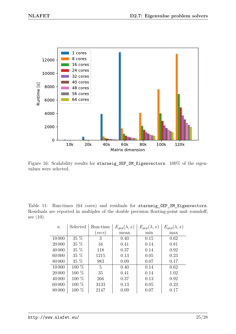

Figure 16: Scalability results for starneig\_SEP\_SM\_Eigenvectors. 100% of the eigenvalues were selected.

Table 11: Run-times (64 cores) and residuals for starneig\_GEP\_SM\_Eigenvectors. Residuals are reported in multiples of the double precision floating-point unit roundoff; see (10).

| $\boldsymbol{n}$ | Selected | Run-time          | $E_{qep}(\lambda, x)$ | $E_{qep}(\lambda, x)$ | $E_{qep}(\lambda, x)$ |
|------------------|----------|-------------------|-----------------------|-----------------------|-----------------------|
|                  |          | $(\textit{secs})$ | mean                  | min                   | max                   |
| 10000            | $35\%$   | 3                 | 0.40                  | 0.15                  | 0.62                  |
| 20 000           | 35 %     | 16                | 0.41                  | 0.14                  | 0.81                  |
| 40 000           | 35 %     | 118               | 0.37                  | 0.14                  | 0.92                  |
| 60000            | 35 %     | 1215              | 0.13                  | 0.05                  | 0.23                  |
| 80000            | 35 %     | 983               | 0.09                  | 0.07                  | 0.17                  |
| 10000            | 100 %    | $\mathbf{5}$      | 0.40                  | 0.14                  | 0.62                  |
| 20 000           | 100 %    | 35                | 0.41                  | 0.14                  | 1.02                  |
| 40 000           | 100 %    | 266               | 0.37                  | 0.13                  | 0.92                  |
| 60000            | 100 %    | 3133              | 0.13                  | 0.05                  | 0.23                  |
| 80000            | 100 %    | 2147              | 0.09                  | 0.07                  | 0.17                  |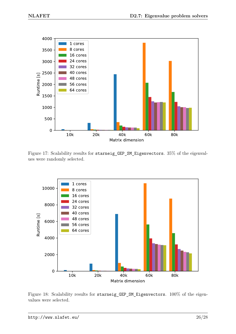

Figure 17: Scalability results for starneig\_GEP\_SM\_Eigenvectors. 35% of the eigenvalues were randomly selected.



Figure 18: Scalability results for starneig\_GEP\_SM\_Eigenvectors. 100% of the eigenvalues were selected.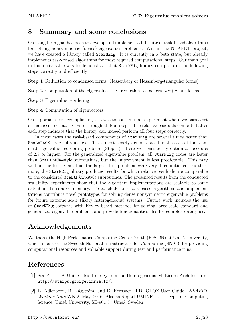#### **8 Summary and some conclusions**

Our long term goal has been to develop and implement a full suite of task-based algorithms for solving nonsymmetric (dense) eigenvalues problems. Within the NLAFET project, we have created a library called StarNEig. It is currently in a beta state, but already implements task-based algorithms for most required computational steps. Our main goal in this deliverable was to demonstrate that StarNEig library can perform the following steps correctly and efficiently:

**Step 1** Reduction to condensed forms (Hessenberg or Hessenberg-triangular forms)

**Step 2** Computation of the eigenvalues, i.e., reduction to (generalized) Schur forms

**Step 3** Eigenvalue reordering

**Step 4** Computation of eigenvectors

Our approach for accomplishing this was to construct an experiment where we pass a set of matrices and matrix pairs through all four steps. The relative residuals computed after each step indicate that the library can indeed perform all four steps correctly.

In most cases the task-based components of StarNEig are several times faster than ScaLAPACK-style subroutines. This is most clearly demonstrated in the case of the standard eigenvalue reordering problem (Step 3). Here we consistently obtain a speedups of 2.8 or higher. For the generalized eigenvalue problem, all StarNEig codes are faster than ScaLAPACK-style subroutines, but the improvement is less predictable. This may well be due to the fact that the largest test problems were very ill-conditioned. Furthermore, the StarNEig library produces results for which relative residuals are comparable to the considered ScaLAPACK-style subroutines. The presented results from the conducted scalability experiments show that the algorithm implementations are scalable to some extent in distributed memory. To conclude, our task-based algorithms and implementations contribute novel prototypes for solving dense nonsymmetric eigenvalue problems for future extreme scale (likely heterogeneous) systems. Future work includes the use of StarNEig software with Krylov-based methods for solving large-scale standard and generalized eigenvalue problems and provide functionalities also for complex datatypes.

## **Acknowledgements**

We thank the High Performance Computing Center North (HPC2N) at Umeå University, which is part of the Swedish National Infrastructure for Computing (SNIC), for providing computational resources and valuable support during test and performance runs.

## **References**

- [1] StarPU A Unified Runtime System for Heterogeneous Multicore Architectures. http://starpu.gforge.inria.fr/.
- [2] B. Adlerborn, B. Kågström, and D. Kressner. PDHGEQZ User Guide. *NLAFET Working Note* WN-2, May, 2016. Also as Report UMINF 15.12, Dept. of Computing Science, Umeå University, SE-901 87 Umeå, Sweden.